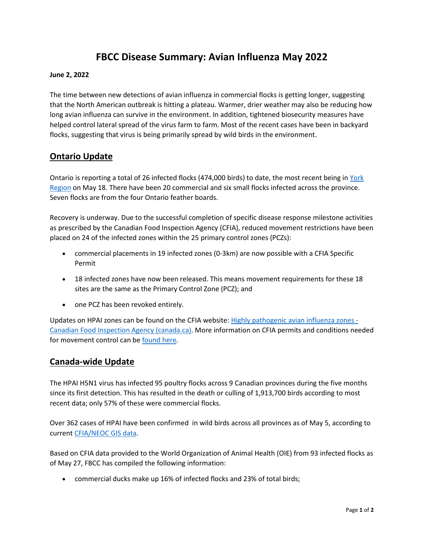# **FBCC Disease Summary: Avian Influenza May 2022**

#### **June 2, 2022**

The time between new detections of avian influenza in commercial flocks is getting longer, suggesting that the North American outbreak is hitting a plateau. Warmer, drier weather may also be reducing how long avian influenza can survive in the environment. In addition, tightened biosecurity measures have helped control lateral spread of the virus farm to farm. Most of the recent cases have been in backyard flocks, suggesting that virus is being primarily spread by wild birds in the environment.

## **Ontario Update**

Ontario is reporting a total of 26 infected flocks (474,000 birds) to date, the most recent being in York Region on May 18. There have been 20 commercial and six small flocks infected across the province. Seven flocks are from the four Ontario feather boards.

Recovery is underway. Due to the successful completion of specific disease response milestone activities as prescribed by the Canadian Food Inspection Agency (CFIA), reduced movement restrictions have been placed on 24 of the infected zones within the 25 primary control zones (PCZs):

- commercial placements in 19 infected zones (0-3km) are now possible with a CFIA Specific Permit
- 18 infected zones have now been released. This means movement requirements for these 18 sites are the same as the Primary Control Zone (PCZ); and
- one PCZ has been revoked entirely.

Updates on HPAI zones can be found on the CFIA website: Highly pathogenic avian influenza zones - Canadian Food Inspection Agency (canada.ca). More information on CFIA permits and conditions needed for movement control can be found here.

## **Canada-wide Update**

The HPAI H5N1 virus has infected 95 poultry flocks across 9 Canadian provinces during the five months since its first detection. This has resulted in the death or culling of 1,913,700 birds according to most recent data; only 57% of these were commercial flocks.

Over 362 cases of HPAI have been confirmed in wild birds across all provinces as of May 5, according to current CFIA/NEOC GIS data.

Based on CFIA data provided to the World Organization of Animal Health (OIE) from 93 infected flocks as of May 27, FBCC has compiled the following information:

• commercial ducks make up 16% of infected flocks and 23% of total birds;